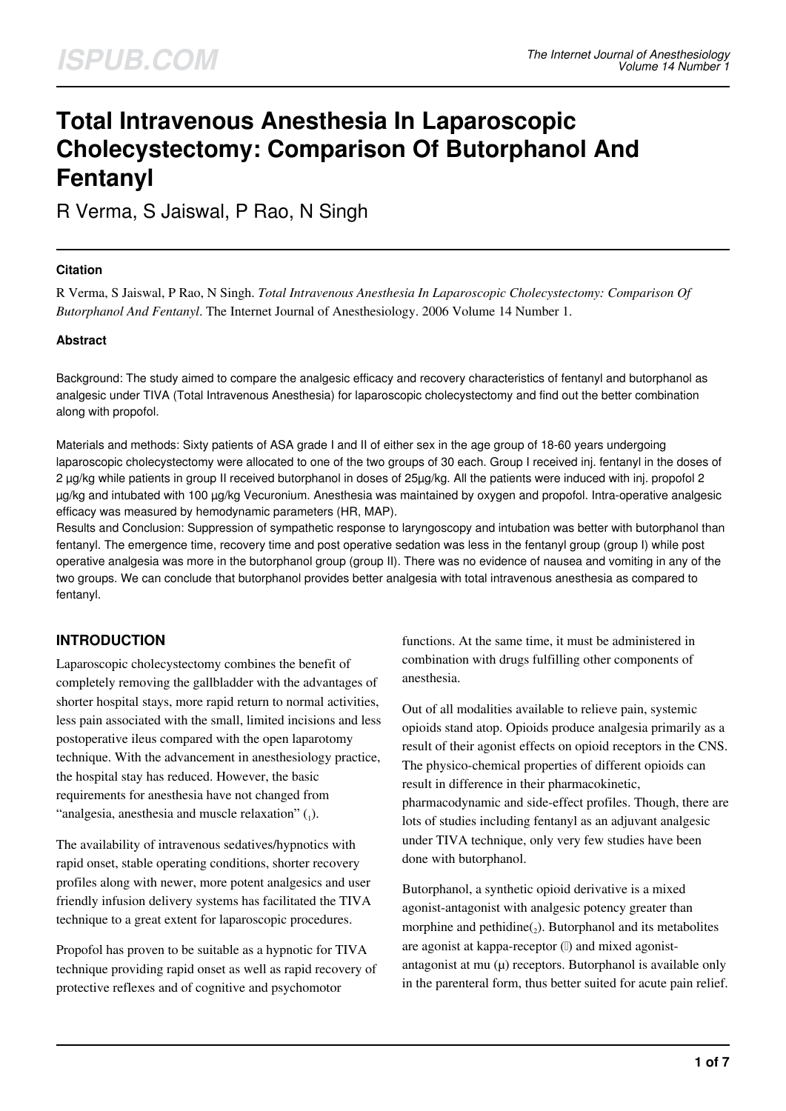# **Total Intravenous Anesthesia In Laparoscopic Cholecystectomy: Comparison Of Butorphanol And Fentanyl**

R Verma, S Jaiswal, P Rao, N Singh

## **Citation**

R Verma, S Jaiswal, P Rao, N Singh. *Total Intravenous Anesthesia In Laparoscopic Cholecystectomy: Comparison Of Butorphanol And Fentanyl*. The Internet Journal of Anesthesiology. 2006 Volume 14 Number 1.

## **Abstract**

Background: The study aimed to compare the analgesic efficacy and recovery characteristics of fentanyl and butorphanol as analgesic under TIVA (Total Intravenous Anesthesia) for laparoscopic cholecystectomy and find out the better combination along with propofol.

Materials and methods: Sixty patients of ASA grade I and II of either sex in the age group of 18-60 years undergoing laparoscopic cholecystectomy were allocated to one of the two groups of 30 each. Group I received inj. fentanyl in the doses of 2 µg/kg while patients in group II received butorphanol in doses of 25µg/kg. All the patients were induced with inj. propofol 2 µg/kg and intubated with 100 µg/kg Vecuronium. Anesthesia was maintained by oxygen and propofol. Intra-operative analgesic efficacy was measured by hemodynamic parameters (HR, MAP).

Results and Conclusion: Suppression of sympathetic response to laryngoscopy and intubation was better with butorphanol than fentanyl. The emergence time, recovery time and post operative sedation was less in the fentanyl group (group I) while post operative analgesia was more in the butorphanol group (group II). There was no evidence of nausea and vomiting in any of the two groups. We can conclude that butorphanol provides better analgesia with total intravenous anesthesia as compared to fentanyl.

# **INTRODUCTION**

Laparoscopic cholecystectomy combines the benefit of completely removing the gallbladder with the advantages of shorter hospital stays, more rapid return to normal activities, less pain associated with the small, limited incisions and less postoperative ileus compared with the open laparotomy technique. With the advancement in anesthesiology practice, the hospital stay has reduced. However, the basic requirements for anesthesia have not changed from "analgesia, anesthesia and muscle relaxation"  $\mathcal{L}_1$ ).

The availability of intravenous sedatives/hypnotics with rapid onset, stable operating conditions, shorter recovery profiles along with newer, more potent analgesics and user friendly infusion delivery systems has facilitated the TIVA technique to a great extent for laparoscopic procedures.

Propofol has proven to be suitable as a hypnotic for TIVA technique providing rapid onset as well as rapid recovery of protective reflexes and of cognitive and psychomotor

functions. At the same time, it must be administered in combination with drugs fulfilling other components of anesthesia.

Out of all modalities available to relieve pain, systemic opioids stand atop. Opioids produce analgesia primarily as a result of their agonist effects on opioid receptors in the CNS. The physico-chemical properties of different opioids can result in difference in their pharmacokinetic, pharmacodynamic and side-effect profiles. Though, there are lots of studies including fentanyl as an adjuvant analgesic under TIVA technique, only very few studies have been done with butorphanol.

Butorphanol, a synthetic opioid derivative is a mixed agonist-antagonist with analgesic potency greater than morphine and pethidine $\binom{1}{2}$ . Butorphanol and its metabolites are agonist at kappa-receptor (I) and mixed agonistantagonist at mu  $(\mu)$  receptors. Butorphanol is available only in the parenteral form, thus better suited for acute pain relief.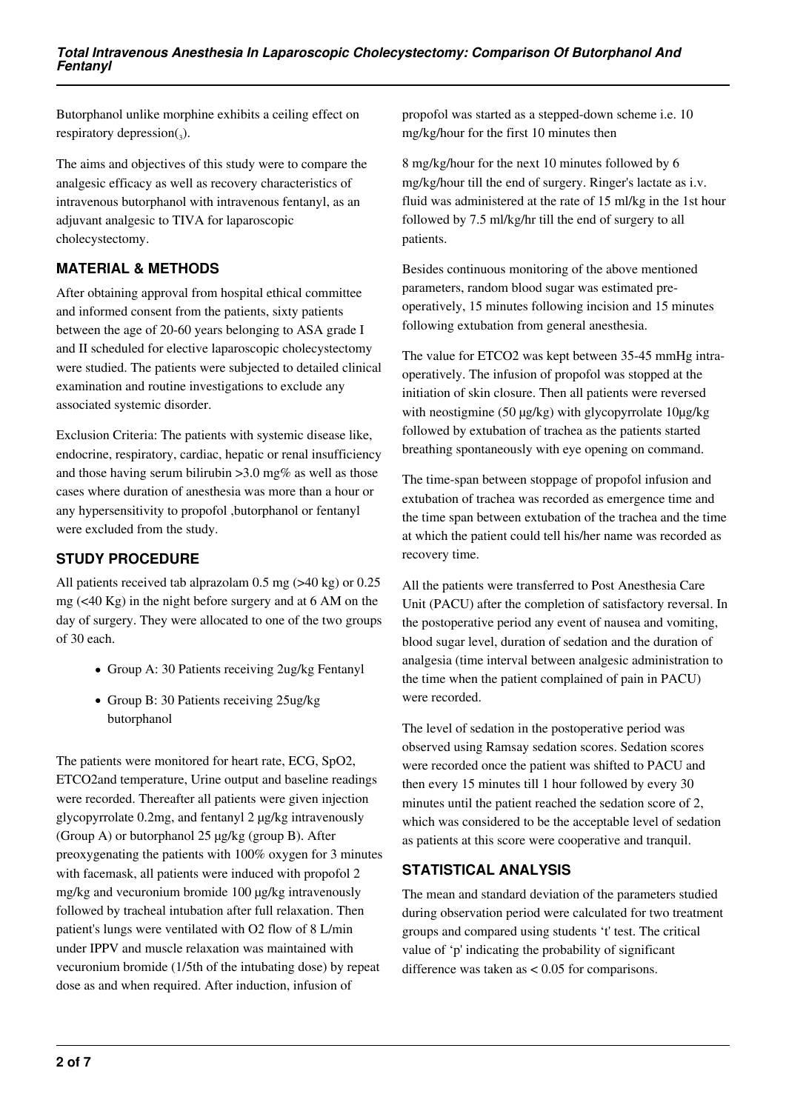Butorphanol unlike morphine exhibits a ceiling effect on respiratory depression $_{3}$ ).

The aims and objectives of this study were to compare the analgesic efficacy as well as recovery characteristics of intravenous butorphanol with intravenous fentanyl, as an adjuvant analgesic to TIVA for laparoscopic cholecystectomy.

# **MATERIAL & METHODS**

After obtaining approval from hospital ethical committee and informed consent from the patients, sixty patients between the age of 20-60 years belonging to ASA grade I and II scheduled for elective laparoscopic cholecystectomy were studied. The patients were subjected to detailed clinical examination and routine investigations to exclude any associated systemic disorder.

Exclusion Criteria: The patients with systemic disease like, endocrine, respiratory, cardiac, hepatic or renal insufficiency and those having serum bilirubin  $>3.0$  mg% as well as those cases where duration of anesthesia was more than a hour or any hypersensitivity to propofol ,butorphanol or fentanyl were excluded from the study.

# **STUDY PROCEDURE**

All patients received tab alprazolam 0.5 mg (>40 kg) or 0.25 mg (<40 Kg) in the night before surgery and at 6 AM on the day of surgery. They were allocated to one of the two groups of 30 each.

- Group A: 30 Patients receiving 2ug/kg Fentanyl
- Group B: 30 Patients receiving 25ug/kg butorphanol

The patients were monitored for heart rate, ECG, SpO2, ETCO2and temperature, Urine output and baseline readings were recorded. Thereafter all patients were given injection glycopyrrolate 0.2mg, and fentanyl 2 µg/kg intravenously (Group A) or butorphanol 25 µg/kg (group B). After preoxygenating the patients with 100% oxygen for 3 minutes with facemask, all patients were induced with propofol 2 mg/kg and vecuronium bromide 100 µg/kg intravenously followed by tracheal intubation after full relaxation. Then patient's lungs were ventilated with O2 flow of 8 L/min under IPPV and muscle relaxation was maintained with vecuronium bromide (1/5th of the intubating dose) by repeat dose as and when required. After induction, infusion of

propofol was started as a stepped-down scheme i.e. 10 mg/kg/hour for the first 10 minutes then

8 mg/kg/hour for the next 10 minutes followed by 6 mg/kg/hour till the end of surgery. Ringer's lactate as i.v. fluid was administered at the rate of 15 ml/kg in the 1st hour followed by 7.5 ml/kg/hr till the end of surgery to all patients.

Besides continuous monitoring of the above mentioned parameters, random blood sugar was estimated preoperatively, 15 minutes following incision and 15 minutes following extubation from general anesthesia.

The value for ETCO2 was kept between 35-45 mmHg intraoperatively. The infusion of propofol was stopped at the initiation of skin closure. Then all patients were reversed with neostigmine (50 µg/kg) with glycopyrrolate 10µg/kg followed by extubation of trachea as the patients started breathing spontaneously with eye opening on command.

The time-span between stoppage of propofol infusion and extubation of trachea was recorded as emergence time and the time span between extubation of the trachea and the time at which the patient could tell his/her name was recorded as recovery time.

All the patients were transferred to Post Anesthesia Care Unit (PACU) after the completion of satisfactory reversal. In the postoperative period any event of nausea and vomiting, blood sugar level, duration of sedation and the duration of analgesia (time interval between analgesic administration to the time when the patient complained of pain in PACU) were recorded.

The level of sedation in the postoperative period was observed using Ramsay sedation scores. Sedation scores were recorded once the patient was shifted to PACU and then every 15 minutes till 1 hour followed by every 30 minutes until the patient reached the sedation score of 2, which was considered to be the acceptable level of sedation as patients at this score were cooperative and tranquil.

## **STATISTICAL ANALYSIS**

The mean and standard deviation of the parameters studied during observation period were calculated for two treatment groups and compared using students 't' test. The critical value of 'p' indicating the probability of significant difference was taken as < 0.05 for comparisons.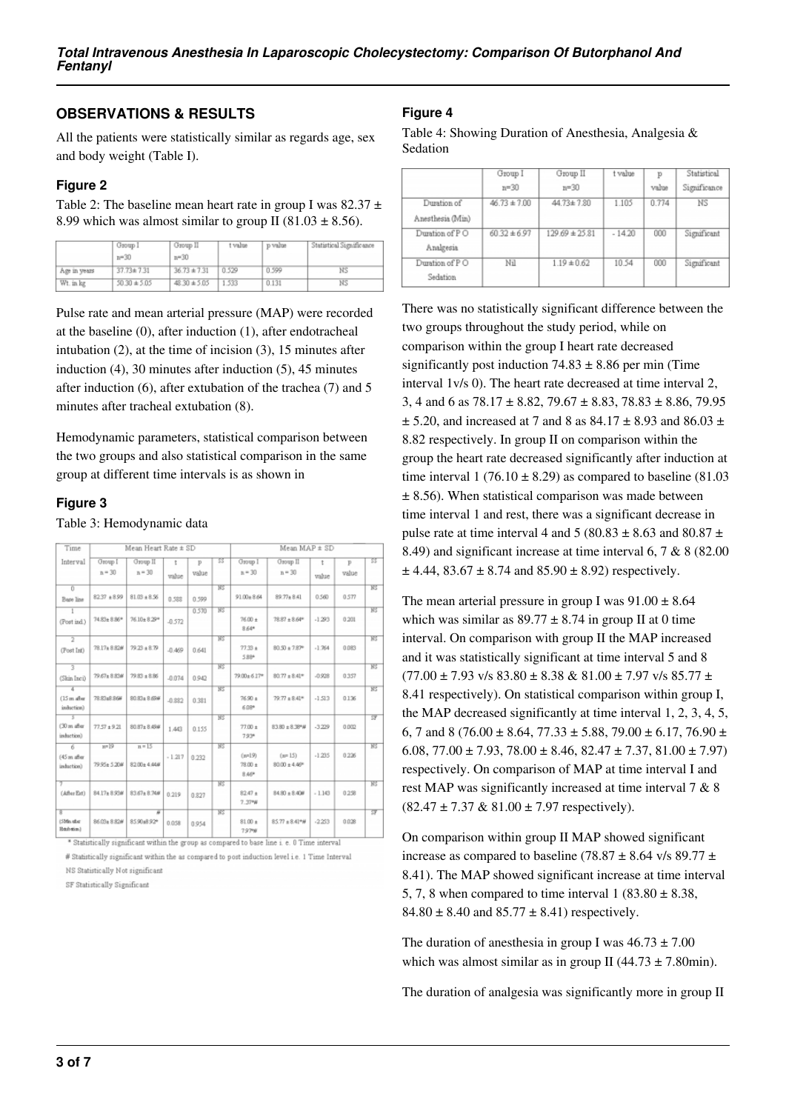## **OBSERVATIONS & RESULTS**

All the patients were statistically similar as regards age, sex and body weight (Table I).

#### **Figure 2**

Table 2: The baseline mean heart rate in group I was  $82.37 \pm$ 8.99 which was almost similar to group II (81.03  $\pm$  8.56).

|              | Group 1<br>$n = 30$ | Group II<br>$n = 30$ | t value | p value | Statistical Significance |
|--------------|---------------------|----------------------|---------|---------|--------------------------|
| Age in years | $37.73 \pm 7.31$    | $36.73 \pm 7.31$     | 0.529   | 0.599   | ΝS                       |
| Wt. in kg    | $50.30 \pm 5.05$    | $48.30 \pm 5.05$     | 1.533   | 0.131   | NS                       |

Pulse rate and mean arterial pressure (MAP) were recorded at the baseline (0), after induction (1), after endotracheal intubation (2), at the time of incision (3), 15 minutes after induction (4), 30 minutes after induction (5), 45 minutes after induction (6), after extubation of the trachea (7) and 5 minutes after tracheal extubation (8).

Hemodynamic parameters, statistical comparison between the two groups and also statistical comparison in the same group at different time intervals is as shown in

#### **Figure 3**

#### Table 3: Hemodynamic data

| Time                                      |                        | Mean Heart Rate ± SD          |            |            |                        | Mean MAP ± SD                      |                                        |            |                       |                        |
|-------------------------------------------|------------------------|-------------------------------|------------|------------|------------------------|------------------------------------|----------------------------------------|------------|-----------------------|------------------------|
| Interval                                  | Group I<br>$n = 30$    | Group II<br>$n = 30$          | t<br>value | p<br>value | 33                     | Group I<br>$n = 30$                | Group II<br>$n = 30$                   | t<br>value | $\mathbf{p}$<br>value | 33                     |
| $\overline{0}$<br>Bage line               | 8237 ±8.99             | $81.03 + 8.56$                | 0.588      | 0.599      | $\overline{\text{MS}}$ | $91.00 + 8.64$                     | 89.77 ± 8.41                           | 0.560      | 0.577                 | $\overline{\text{MS}}$ |
| (Post ind.)                               | 74.83± 8.86*           | 76.10±8.29*                   | $-0.572$   | 0.570      | NS.                    | $76.00 \pm$<br>$8.64*$             | $78.87 \pm 8.64^{\text{o}}$            | $-1.293$   | 0.201                 | W <sub>2</sub>         |
| $\overline{2}$<br>(Post Int)              | 78.17±8.82#            | $79.23 \pm 8.79$              | $-0.469$   | 0.641      | NS.                    | $77.33 +$<br>5.88*                 | $80.90 \pm 7.87^{\circ}$               | $-1.764$   | 0.083                 | $W_2$                  |
| 3<br>(Skin Inci)                          | 79.67± 8.83#           | $79.83 \pm 8.86$              | $-0.074$   | 0.942      | NS <sup></sup>         | 79.00±6.17*                        | $80.77 \pm 8.41^{\circ}$               | $-0.928$   | 0357                  | W <sub>2</sub>         |
| а<br>$(15 \text{ m})$ after<br>induction) | 78.83±8.86#            | 80.83± 8.69#                  | $-0.882$   | 0.381      | $\overline{\text{NS}}$ | $76.90 \pm$<br>6.08*               | $79.77 \pm 8.41$ *                     | $-1.513$   | 0.136                 | $\overline{\text{NS}}$ |
| $(30 \text{ m})$ after<br>induction)      | $77.57 \pm 9.21$       | 80.87± 8.49#                  | 1.443      | 0.155      | NS <sup>T</sup>        | $77.00 \pm$<br>$7.93*$             | $83.80 \pm 8.38$ *W                    | $-3.229$   | 0.002                 | ক্ল                    |
| 6<br>$(45 \text{ m after}$<br>induction)  | $m=19$<br>79.95± 5.20# | $n = 15$<br>$82.00 \pm 4.448$ | $-1.217$   | 0.232      | NS.                    | $(m=19)$<br>$78.00 \pm$<br>$8.46*$ | $(n = 15)$<br>$80.00 \pm 4.46^{\circ}$ | $-1.235$   | 0.226                 | $W_2$                  |
| (After Ext)                               | 84.17±8.93#            | $83.67 \pm 8.740$             | 0.219      | 0.827      | <b>NS</b>              | $82.47 +$<br>$7.37*W$              | $84.80 \pm 8.40$ W                     | $-1.143$   | 0258                  | $W_2$                  |
| B.<br>(SMn abe<br>libitab sticm.)         | 86.03± 8.82#           | ñ<br>85.90±8.92*              | 0.058      | 0.954      | NS.                    | $81.00 +$<br>797%                  | $85.77 \pm 8.41^{\circ}$ #             | $-2.253$   | 0.028                 | <b>SF</b>              |

# Statistically significant within the as compared to post induction level i.e. 1 Time Interval

NS Statistically Not significant

SF Statistically Significant

#### **Figure 4**

Table 4: Showing Duration of Anesthesia, Analgesia & Sedation

|                  | Group I          | Group II           | t value  | p     | Statistical  |
|------------------|------------------|--------------------|----------|-------|--------------|
|                  | $n = 30$         | $n = 30$           |          | value | Significance |
| Duration of      | $46.73 \pm 7.00$ | 44.73±7.80         | 1.105    | 0.774 | ΝS           |
| Anesthesia (Min) |                  |                    |          |       |              |
| Duration of PO   | $60.32 \pm 6.97$ | $129.69 \pm 25.81$ | $-14.20$ | 000   | Significant  |
| Analgesia        |                  |                    |          |       |              |
| Duration of PO   | Nil              | $1.19 \pm 0.62$    | 10.54    | 000   | Significant  |
| Sedation         |                  |                    |          |       |              |

There was no statistically significant difference between the two groups throughout the study period, while on comparison within the group I heart rate decreased significantly post induction  $74.83 \pm 8.86$  per min (Time interval 1v/s 0). The heart rate decreased at time interval 2, 3, 4 and 6 as  $78.17 \pm 8.82$ ,  $79.67 \pm 8.83$ ,  $78.83 \pm 8.86$ ,  $79.95$  $\pm$  5.20, and increased at 7 and 8 as 84.17  $\pm$  8.93 and 86.03  $\pm$ 8.82 respectively. In group II on comparison within the group the heart rate decreased significantly after induction at time interval  $1 (76.10 \pm 8.29)$  as compared to baseline (81.03)  $\pm$  8.56). When statistical comparison was made between time interval 1 and rest, there was a significant decrease in pulse rate at time interval 4 and 5 (80.83  $\pm$  8.63 and 80.87  $\pm$ 8.49) and significant increase at time interval 6, 7 & 8 (82.00  $\pm$  4.44, 83.67  $\pm$  8.74 and 85.90  $\pm$  8.92) respectively.

The mean arterial pressure in group I was  $91.00 \pm 8.64$ which was similar as  $89.77 \pm 8.74$  in group II at 0 time interval. On comparison with group II the MAP increased and it was statistically significant at time interval 5 and 8  $(77.00 \pm 7.93 \text{ v/s } 83.80 \pm 8.38 \& 81.00 \pm 7.97 \text{ v/s } 85.77 \pm 1.00 \pm 1.00 \pm 1.00 \pm 1.00 \pm 1.00 \pm 1.00 \pm 1.00 \pm 1.00 \pm 1.00 \pm 1.00 \pm 1.00 \pm 1.00 \pm 1.00 \pm 1.00 \pm 1.00 \pm 1.00 \pm 1.00 \pm 1.00 \pm 1.00 \pm 1.00 \pm 1.00 \pm 1.00 \pm 1.00$ 8.41 respectively). On statistical comparison within group I, the MAP decreased significantly at time interval 1, 2, 3, 4, 5, 6, 7 and 8 (76.00  $\pm$  8.64, 77.33  $\pm$  5.88, 79.00  $\pm$  6.17, 76.90  $\pm$ 6.08,  $77.00 \pm 7.93$ ,  $78.00 \pm 8.46$ ,  $82.47 \pm 7.37$ ,  $81.00 \pm 7.97$ ) respectively. On comparison of MAP at time interval I and rest MAP was significantly increased at time interval 7 & 8  $(82.47 \pm 7.37 \& 81.00 \pm 7.97$  respectively).

On comparison within group II MAP showed significant increase as compared to baseline (78.87  $\pm$  8.64 v/s 89.77  $\pm$ 8.41). The MAP showed significant increase at time interval 5, 7, 8 when compared to time interval  $1 (83.80 \pm 8.38,$ 84.80  $\pm$  8.40 and 85.77  $\pm$  8.41) respectively.

The duration of anesthesia in group I was  $46.73 \pm 7.00$ which was almost similar as in group II (44.73  $\pm$  7.80min).

The duration of analgesia was significantly more in group II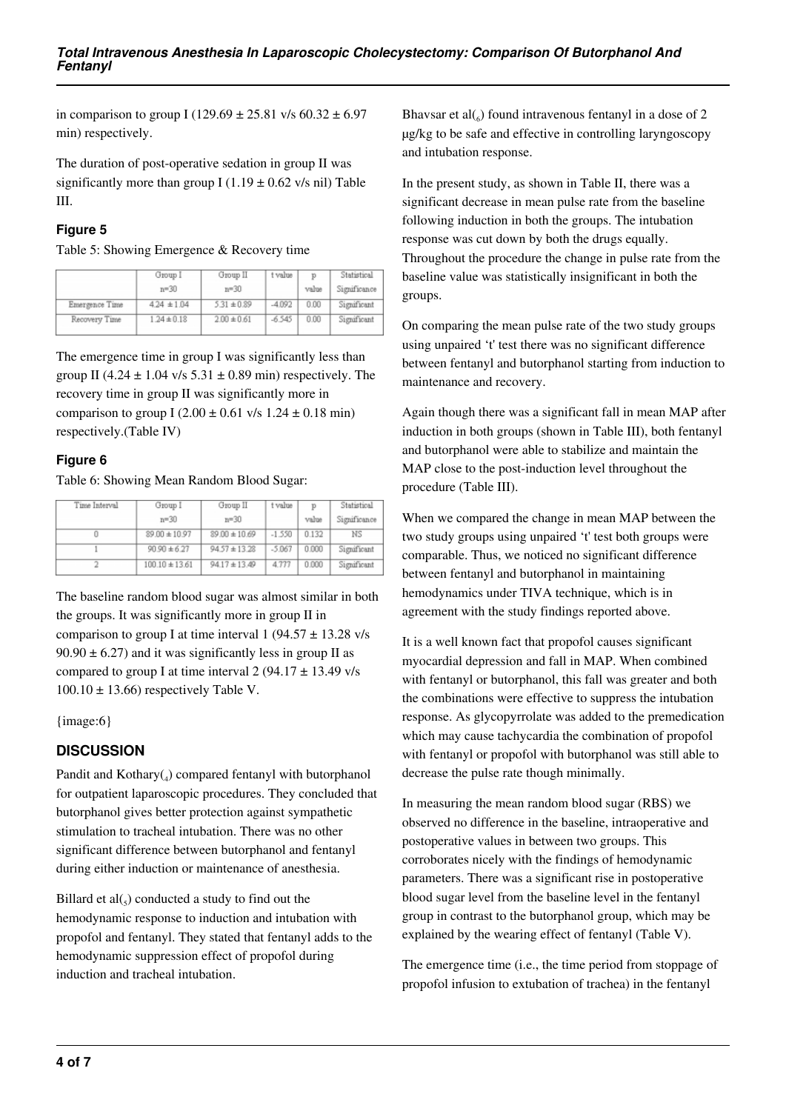in comparison to group I (129.69  $\pm$  25.81 v/s 60.32  $\pm$  6.97 min) respectively.

The duration of post-operative sedation in group II was significantly more than group I (1.19  $\pm$  0.62 v/s nil) Table III.

## **Figure 5**

Table 5: Showing Emergence & Recovery time

|                | Group I         | Group II        | t value  | p     | Statistical  |
|----------------|-----------------|-----------------|----------|-------|--------------|
|                | $n = 30$        | $n = 30$        |          | value | Significance |
| Emergence Time | $4.24 \pm 1.04$ | $5.31 \pm 0.89$ | $-4.092$ | 0.00  | Significant  |
| Recovery Time  | $1.24 \pm 0.18$ | $2.00 \pm 0.61$ | $-6.545$ | 0.00  | Significant  |

The emergence time in group I was significantly less than group II (4.24  $\pm$  1.04 v/s 5.31  $\pm$  0.89 min) respectively. The recovery time in group II was significantly more in comparison to group I (2.00  $\pm$  0.61 v/s 1.24  $\pm$  0.18 min) respectively.(Table IV)

## **Figure 6**

Table 6: Showing Mean Random Blood Sugar:

| Time Interval | Group I            | Group II          | t value  | T)    | Statistical  |
|---------------|--------------------|-------------------|----------|-------|--------------|
|               | $n = 30$           | $n = 30$          |          | value | Significance |
|               | $89.00 \pm 10.97$  | $89.00 \pm 10.69$ | $-1.550$ | 0.132 | ΝS           |
|               | $90.90 \pm 6.27$   | $94.57 \pm 13.28$ | $-5.067$ | 0.000 | Significant  |
|               | $100.10 \pm 13.61$ | $94.17 \pm 13.49$ | 4.777    | 0.000 | Significant  |

The baseline random blood sugar was almost similar in both the groups. It was significantly more in group II in comparison to group I at time interval 1 (94.57  $\pm$  13.28 v/s  $90.90 \pm 6.27$  and it was significantly less in group II as compared to group I at time interval  $2(94.17 \pm 13.49 \text{ v/s})$  $100.10 \pm 13.66$ ) respectively Table V.

{image:6}

# **DISCUSSION**

Pandit and Kothary(4) compared fentanyl with butorphanol for outpatient laparoscopic procedures. They concluded that butorphanol gives better protection against sympathetic stimulation to tracheal intubation. There was no other significant difference between butorphanol and fentanyl during either induction or maintenance of anesthesia.

Billard et  $al(_{5})$  conducted a study to find out the hemodynamic response to induction and intubation with propofol and fentanyl. They stated that fentanyl adds to the hemodynamic suppression effect of propofol during induction and tracheal intubation.

Bhavsar et al $\binom{6}{6}$  found intravenous fentanyl in a dose of 2 µg/kg to be safe and effective in controlling laryngoscopy and intubation response.

In the present study, as shown in Table II, there was a significant decrease in mean pulse rate from the baseline following induction in both the groups. The intubation response was cut down by both the drugs equally. Throughout the procedure the change in pulse rate from the baseline value was statistically insignificant in both the groups.

On comparing the mean pulse rate of the two study groups using unpaired 't' test there was no significant difference between fentanyl and butorphanol starting from induction to maintenance and recovery.

Again though there was a significant fall in mean MAP after induction in both groups (shown in Table III), both fentanyl and butorphanol were able to stabilize and maintain the MAP close to the post-induction level throughout the procedure (Table III).

When we compared the change in mean MAP between the two study groups using unpaired 't' test both groups were comparable. Thus, we noticed no significant difference between fentanyl and butorphanol in maintaining hemodynamics under TIVA technique, which is in agreement with the study findings reported above.

It is a well known fact that propofol causes significant myocardial depression and fall in MAP. When combined with fentanyl or butorphanol, this fall was greater and both the combinations were effective to suppress the intubation response. As glycopyrrolate was added to the premedication which may cause tachycardia the combination of propofol with fentanyl or propofol with butorphanol was still able to decrease the pulse rate though minimally.

In measuring the mean random blood sugar (RBS) we observed no difference in the baseline, intraoperative and postoperative values in between two groups. This corroborates nicely with the findings of hemodynamic parameters. There was a significant rise in postoperative blood sugar level from the baseline level in the fentanyl group in contrast to the butorphanol group, which may be explained by the wearing effect of fentanyl (Table V).

The emergence time (i.e., the time period from stoppage of propofol infusion to extubation of trachea) in the fentanyl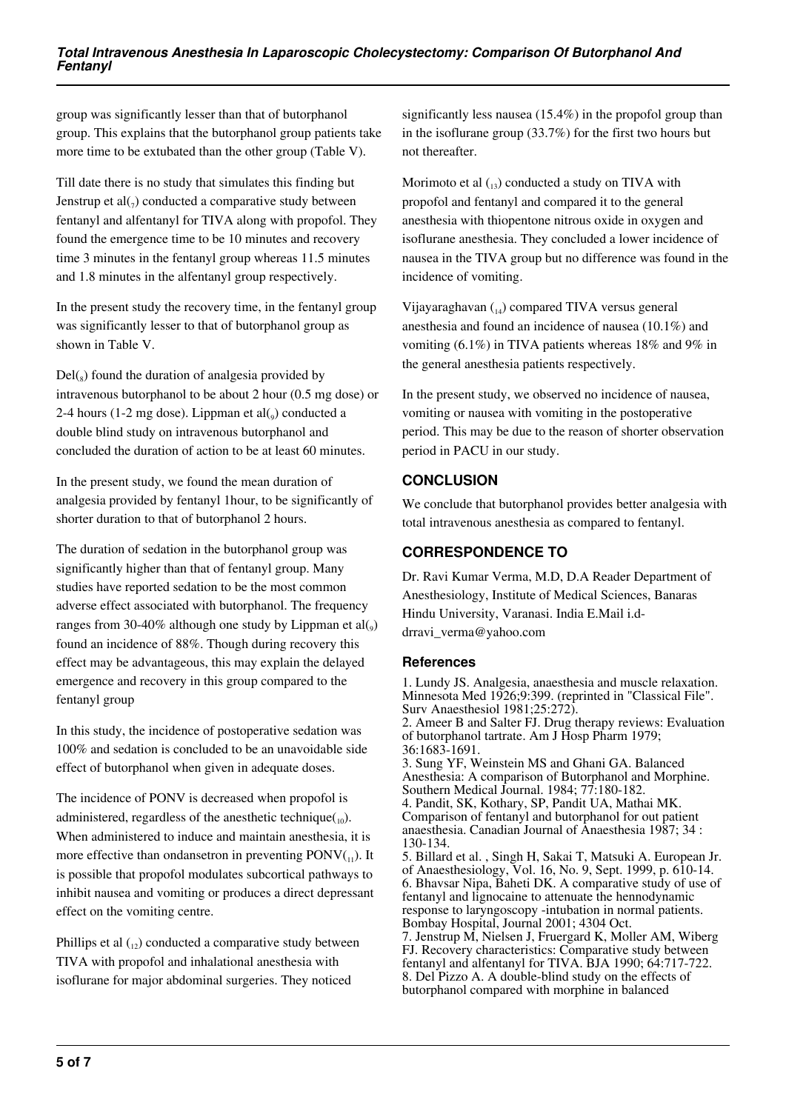group was significantly lesser than that of butorphanol group. This explains that the butorphanol group patients take more time to be extubated than the other group (Table V).

Till date there is no study that simulates this finding but Jenstrup et al $\binom{7}{7}$  conducted a comparative study between fentanyl and alfentanyl for TIVA along with propofol. They found the emergence time to be 10 minutes and recovery time 3 minutes in the fentanyl group whereas 11.5 minutes and 1.8 minutes in the alfentanyl group respectively.

In the present study the recovery time, in the fentanyl group was significantly lesser to that of butorphanol group as shown in Table V.

 $Del(s)$  found the duration of analgesia provided by intravenous butorphanol to be about 2 hour (0.5 mg dose) or  $2-4$  hours (1-2 mg dose). Lippman et al $\binom{0}{0}$  conducted a double blind study on intravenous butorphanol and concluded the duration of action to be at least 60 minutes.

In the present study, we found the mean duration of analgesia provided by fentanyl 1hour, to be significantly of shorter duration to that of butorphanol 2 hours.

The duration of sedation in the butorphanol group was significantly higher than that of fentanyl group. Many studies have reported sedation to be the most common adverse effect associated with butorphanol. The frequency ranges from 30-40% although one study by Lippman et  $\text{al}(0,0)$ found an incidence of 88%. Though during recovery this effect may be advantageous, this may explain the delayed emergence and recovery in this group compared to the fentanyl group

In this study, the incidence of postoperative sedation was 100% and sedation is concluded to be an unavoidable side effect of butorphanol when given in adequate doses.

The incidence of PONV is decreased when propofol is administered, regardless of the anesthetic technique( $_{10}$ ). When administered to induce and maintain anesthesia, it is more effective than ondansetron in preventing  $\text{PONV}_\text{(1)}$ . It is possible that propofol modulates subcortical pathways to inhibit nausea and vomiting or produces a direct depressant effect on the vomiting centre.

Phillips et al  $_{12}$ ) conducted a comparative study between TIVA with propofol and inhalational anesthesia with isoflurane for major abdominal surgeries. They noticed

significantly less nausea (15.4%) in the propofol group than in the isoflurane group (33.7%) for the first two hours but not thereafter.

Morimoto et al  $_{(13)}$  conducted a study on TIVA with propofol and fentanyl and compared it to the general anesthesia with thiopentone nitrous oxide in oxygen and isoflurane anesthesia. They concluded a lower incidence of nausea in the TIVA group but no difference was found in the incidence of vomiting.

Vijayaraghavan  $_{14}$ ) compared TIVA versus general anesthesia and found an incidence of nausea (10.1%) and vomiting (6.1%) in TIVA patients whereas 18% and 9% in the general anesthesia patients respectively.

In the present study, we observed no incidence of nausea, vomiting or nausea with vomiting in the postoperative period. This may be due to the reason of shorter observation period in PACU in our study.

# **CONCLUSION**

We conclude that butorphanol provides better analgesia with total intravenous anesthesia as compared to fentanyl.

# **CORRESPONDENCE TO**

Dr. Ravi Kumar Verma, M.D, D.A Reader Department of Anesthesiology, Institute of Medical Sciences, Banaras Hindu University, Varanasi. India E.Mail i.ddrravi verma@yahoo.com

## **References**

1. Lundy JS. Analgesia, anaesthesia and muscle relaxation. Minnesota Med 1926;9:399. (reprinted in "Classical File". Surv Anaesthesiol 1981;25:272). 2. Ameer B and Salter FJ. Drug therapy reviews: Evaluation of butorphanol tartrate. Am J Hosp Pharm 1979; 36:1683-1691. 3. Sung YF, Weinstein MS and Ghani GA. Balanced Anesthesia: A comparison of Butorphanol and Morphine. Southern Medical Journal. 1984; 77:180-182. 4. Pandit, SK, Kothary, SP, Pandit UA, Mathai MK. Comparison of fentanyl and butorphanol for out patient anaesthesia. Canadian Journal of Anaesthesia 1987; 34 : 130-134. 5. Billard et al. , Singh H, Sakai T, Matsuki A. European Jr. of Anaesthesiology, Vol. 16, No. 9, Sept. 1999, p. 610-14. 6. Bhavsar Nipa, Baheti DK. A comparative study of use of fentanyl and lignocaine to attenuate the hennodynamic response to laryngoscopy -intubation in normal patients. Bombay Hospital, Journal 2001; 4304 Oct. 7. Jenstrup M, Nielsen J, Fruergard K, Moller AM, Wiberg FJ. Recovery characteristics: Comparative study between fentanyl and alfentanyl for TIVA. BJA 1990; 64:717-722. 8. Del Pizzo A. A double-blind study on the effects of

butorphanol compared with morphine in balanced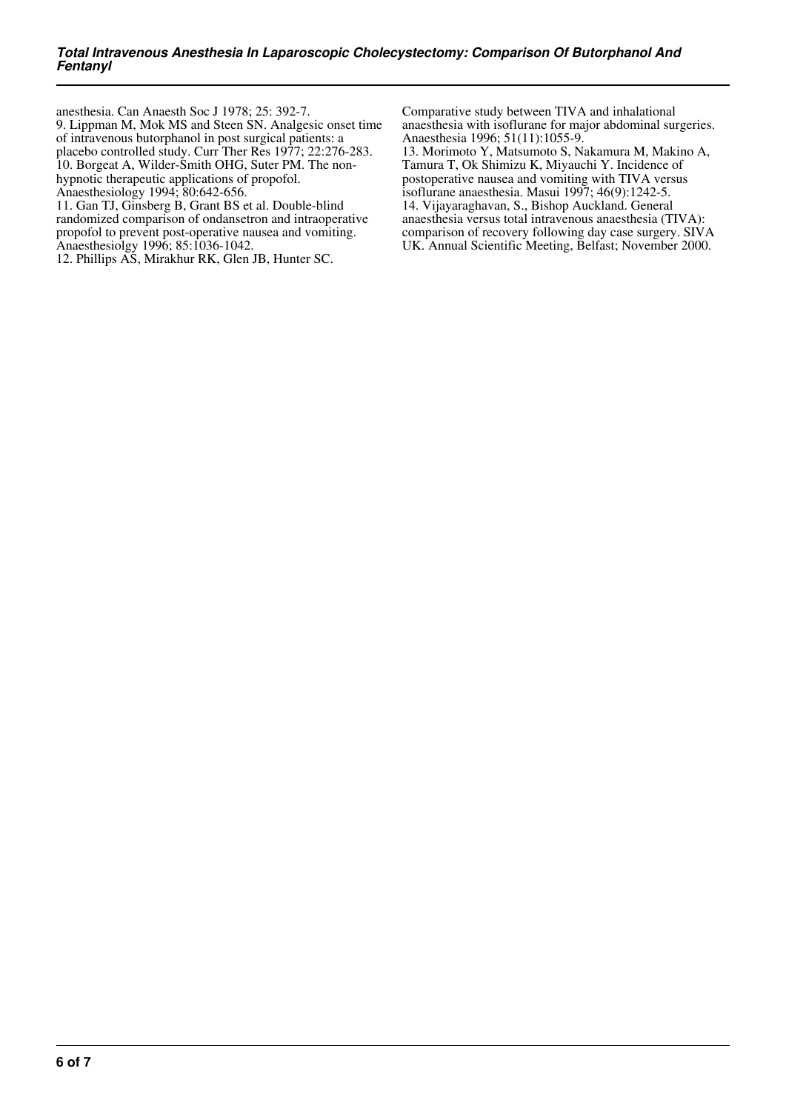anesthesia. Can Anaesth Soc J 1978; 25: 392-7. 9. Lippman M, Mok MS and Steen SN. Analgesic onset time of intravenous butorphanol in post surgical patients: a placebo controlled study. Curr Ther Res 1977; 22:276-283. 10. Borgeat A, Wilder-Smith OHG, Suter PM. The nonhypnotic therapeutic applications of propofol. Anaesthesiology 1994; 80:642-656.

11. Gan TJ, Ginsberg B, Grant BS et al. Double-blind randomized comparison of ondansetron and intraoperative propofol to prevent post-operative nausea and vomiting. Anaesthesiolgy 1996; 85:1036-1042.

12. Phillips AS, Mirakhur RK, Glen JB, Hunter SC.

Comparative study between TIVA and inhalational anaesthesia with isoflurane for major abdominal surgeries. Anaesthesia 1996; 51(11):1055-9.

13. Morimoto Y, Matsumoto S, Nakamura M, Makino A, Tamura T, Ok Shimizu K, Miyauchi Y. Incidence of postoperative nausea and vomiting with TIVA versus isoflurane anaesthesia. Masui 1997; 46(9):1242-5. 14. Vijayaraghavan, S., Bishop Auckland. General anaesthesia versus total intravenous anaesthesia (TIVA): comparison of recovery following day case surgery. SIVA UK. Annual Scientific Meeting, Belfast; November 2000.